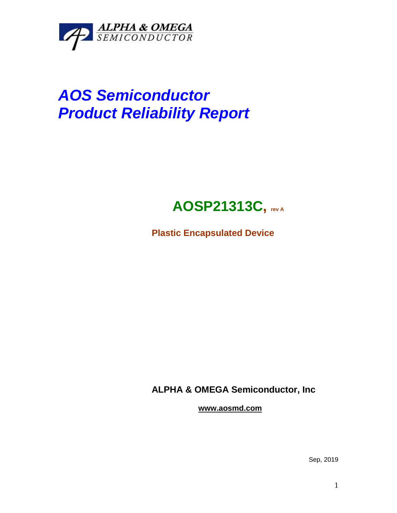

# *AOS Semiconductor Product Reliability Report*

## **AOSP21313C, rev <sup>A</sup>**

**Plastic Encapsulated Device**

**ALPHA & OMEGA Semiconductor, Inc**

**www.aosmd.com**

Sep, 2019